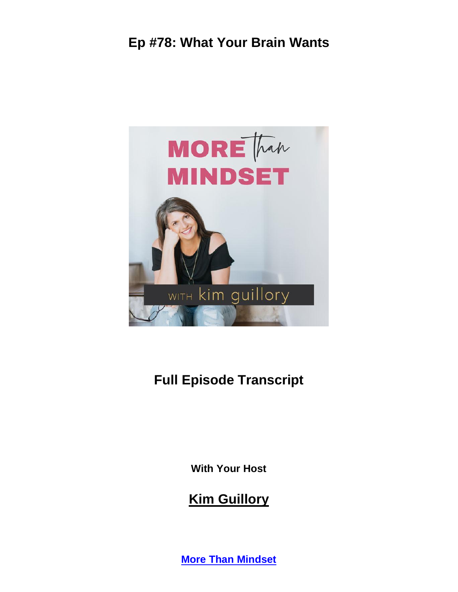

# **Full Episode Transcript**

**With Your Host**

**Kim Guillory**

**[More Than Mindset](https://kimguillory.com/podcast)**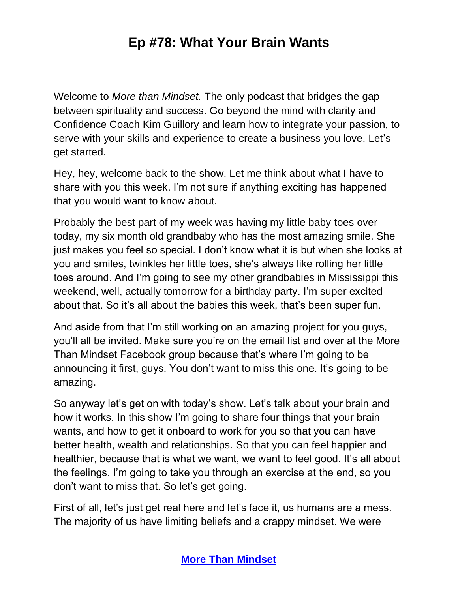Welcome to *More than Mindset.* The only podcast that bridges the gap between spirituality and success. Go beyond the mind with clarity and Confidence Coach Kim Guillory and learn how to integrate your passion, to serve with your skills and experience to create a business you love. Let's get started.

Hey, hey, welcome back to the show. Let me think about what I have to share with you this week. I'm not sure if anything exciting has happened that you would want to know about.

Probably the best part of my week was having my little baby toes over today, my six month old grandbaby who has the most amazing smile. She just makes you feel so special. I don't know what it is but when she looks at you and smiles, twinkles her little toes, she's always like rolling her little toes around. And I'm going to see my other grandbabies in Mississippi this weekend, well, actually tomorrow for a birthday party. I'm super excited about that. So it's all about the babies this week, that's been super fun.

And aside from that I'm still working on an amazing project for you guys, you'll all be invited. Make sure you're on the email list and over at the More Than Mindset Facebook group because that's where I'm going to be announcing it first, guys. You don't want to miss this one. It's going to be amazing.

So anyway let's get on with today's show. Let's talk about your brain and how it works. In this show I'm going to share four things that your brain wants, and how to get it onboard to work for you so that you can have better health, wealth and relationships. So that you can feel happier and healthier, because that is what we want, we want to feel good. It's all about the feelings. I'm going to take you through an exercise at the end, so you don't want to miss that. So let's get going.

First of all, let's just get real here and let's face it, us humans are a mess. The majority of us have limiting beliefs and a crappy mindset. We were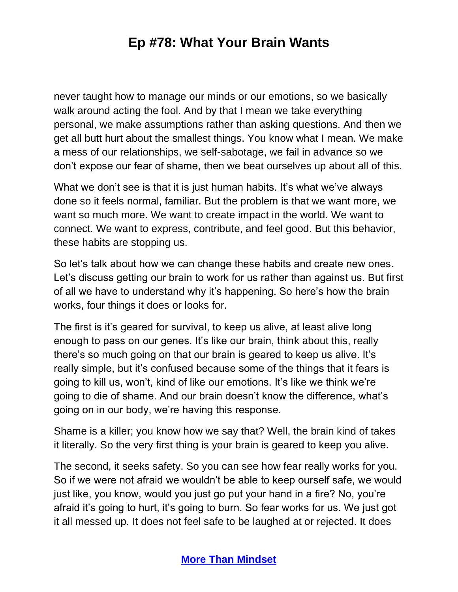never taught how to manage our minds or our emotions, so we basically walk around acting the fool. And by that I mean we take everything personal, we make assumptions rather than asking questions. And then we get all butt hurt about the smallest things. You know what I mean. We make a mess of our relationships, we self-sabotage, we fail in advance so we don't expose our fear of shame, then we beat ourselves up about all of this.

What we don't see is that it is just human habits. It's what we've always done so it feels normal, familiar. But the problem is that we want more, we want so much more. We want to create impact in the world. We want to connect. We want to express, contribute, and feel good. But this behavior, these habits are stopping us.

So let's talk about how we can change these habits and create new ones. Let's discuss getting our brain to work for us rather than against us. But first of all we have to understand why it's happening. So here's how the brain works, four things it does or looks for.

The first is it's geared for survival, to keep us alive, at least alive long enough to pass on our genes. It's like our brain, think about this, really there's so much going on that our brain is geared to keep us alive. It's really simple, but it's confused because some of the things that it fears is going to kill us, won't, kind of like our emotions. It's like we think we're going to die of shame. And our brain doesn't know the difference, what's going on in our body, we're having this response.

Shame is a killer; you know how we say that? Well, the brain kind of takes it literally. So the very first thing is your brain is geared to keep you alive.

The second, it seeks safety. So you can see how fear really works for you. So if we were not afraid we wouldn't be able to keep ourself safe, we would just like, you know, would you just go put your hand in a fire? No, you're afraid it's going to hurt, it's going to burn. So fear works for us. We just got it all messed up. It does not feel safe to be laughed at or rejected. It does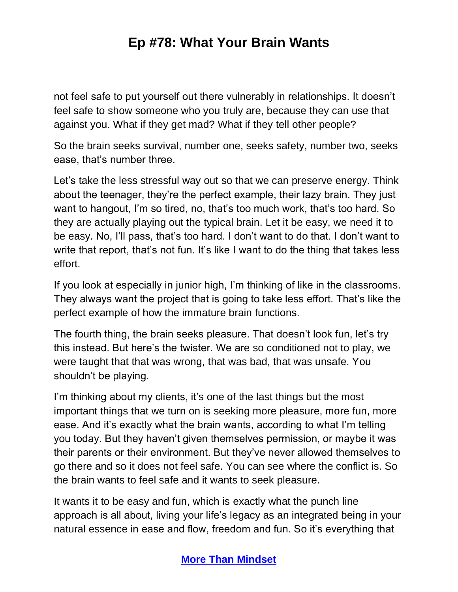not feel safe to put yourself out there vulnerably in relationships. It doesn't feel safe to show someone who you truly are, because they can use that against you. What if they get mad? What if they tell other people?

So the brain seeks survival, number one, seeks safety, number two, seeks ease, that's number three.

Let's take the less stressful way out so that we can preserve energy. Think about the teenager, they're the perfect example, their lazy brain. They just want to hangout, I'm so tired, no, that's too much work, that's too hard. So they are actually playing out the typical brain. Let it be easy, we need it to be easy. No, I'll pass, that's too hard. I don't want to do that. I don't want to write that report, that's not fun. It's like I want to do the thing that takes less effort.

If you look at especially in junior high, I'm thinking of like in the classrooms. They always want the project that is going to take less effort. That's like the perfect example of how the immature brain functions.

The fourth thing, the brain seeks pleasure. That doesn't look fun, let's try this instead. But here's the twister. We are so conditioned not to play, we were taught that that was wrong, that was bad, that was unsafe. You shouldn't be playing.

I'm thinking about my clients, it's one of the last things but the most important things that we turn on is seeking more pleasure, more fun, more ease. And it's exactly what the brain wants, according to what I'm telling you today. But they haven't given themselves permission, or maybe it was their parents or their environment. But they've never allowed themselves to go there and so it does not feel safe. You can see where the conflict is. So the brain wants to feel safe and it wants to seek pleasure.

It wants it to be easy and fun, which is exactly what the punch line approach is all about, living your life's legacy as an integrated being in your natural essence in ease and flow, freedom and fun. So it's everything that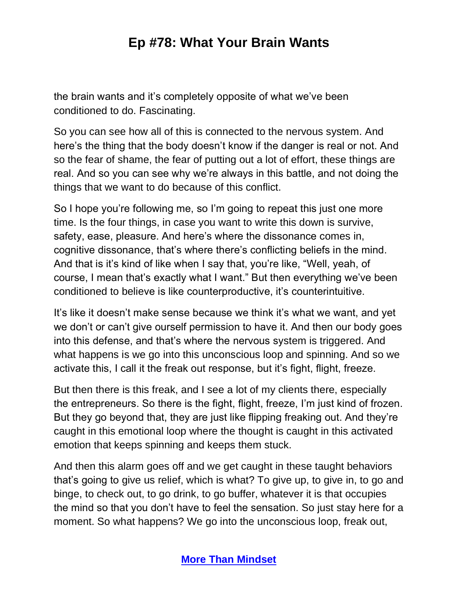the brain wants and it's completely opposite of what we've been conditioned to do. Fascinating.

So you can see how all of this is connected to the nervous system. And here's the thing that the body doesn't know if the danger is real or not. And so the fear of shame, the fear of putting out a lot of effort, these things are real. And so you can see why we're always in this battle, and not doing the things that we want to do because of this conflict.

So I hope you're following me, so I'm going to repeat this just one more time. Is the four things, in case you want to write this down is survive, safety, ease, pleasure. And here's where the dissonance comes in, cognitive dissonance, that's where there's conflicting beliefs in the mind. And that is it's kind of like when I say that, you're like, "Well, yeah, of course, I mean that's exactly what I want." But then everything we've been conditioned to believe is like counterproductive, it's counterintuitive.

It's like it doesn't make sense because we think it's what we want, and yet we don't or can't give ourself permission to have it. And then our body goes into this defense, and that's where the nervous system is triggered. And what happens is we go into this unconscious loop and spinning. And so we activate this, I call it the freak out response, but it's fight, flight, freeze.

But then there is this freak, and I see a lot of my clients there, especially the entrepreneurs. So there is the fight, flight, freeze, I'm just kind of frozen. But they go beyond that, they are just like flipping freaking out. And they're caught in this emotional loop where the thought is caught in this activated emotion that keeps spinning and keeps them stuck.

And then this alarm goes off and we get caught in these taught behaviors that's going to give us relief, which is what? To give up, to give in, to go and binge, to check out, to go drink, to go buffer, whatever it is that occupies the mind so that you don't have to feel the sensation. So just stay here for a moment. So what happens? We go into the unconscious loop, freak out,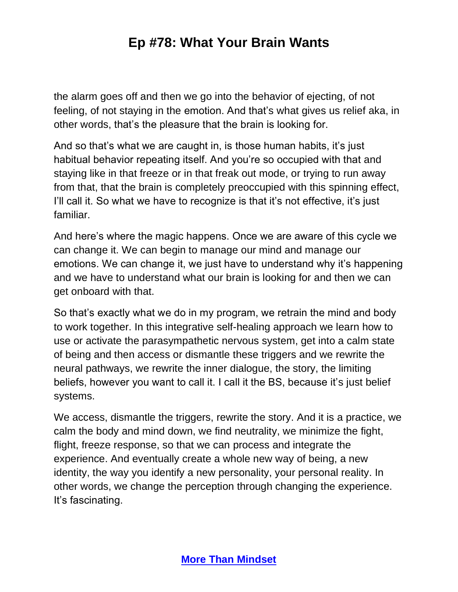the alarm goes off and then we go into the behavior of ejecting, of not feeling, of not staying in the emotion. And that's what gives us relief aka, in other words, that's the pleasure that the brain is looking for.

And so that's what we are caught in, is those human habits, it's just habitual behavior repeating itself. And you're so occupied with that and staying like in that freeze or in that freak out mode, or trying to run away from that, that the brain is completely preoccupied with this spinning effect, I'll call it. So what we have to recognize is that it's not effective, it's just familiar.

And here's where the magic happens. Once we are aware of this cycle we can change it. We can begin to manage our mind and manage our emotions. We can change it, we just have to understand why it's happening and we have to understand what our brain is looking for and then we can get onboard with that.

So that's exactly what we do in my program, we retrain the mind and body to work together. In this integrative self-healing approach we learn how to use or activate the parasympathetic nervous system, get into a calm state of being and then access or dismantle these triggers and we rewrite the neural pathways, we rewrite the inner dialogue, the story, the limiting beliefs, however you want to call it. I call it the BS, because it's just belief systems.

We access, dismantle the triggers, rewrite the story. And it is a practice, we calm the body and mind down, we find neutrality, we minimize the fight, flight, freeze response, so that we can process and integrate the experience. And eventually create a whole new way of being, a new identity, the way you identify a new personality, your personal reality. In other words, we change the perception through changing the experience. It's fascinating.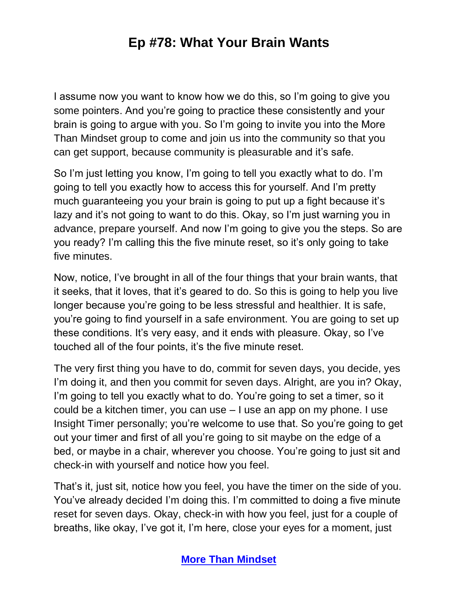I assume now you want to know how we do this, so I'm going to give you some pointers. And you're going to practice these consistently and your brain is going to argue with you. So I'm going to invite you into the More Than Mindset group to come and join us into the community so that you can get support, because community is pleasurable and it's safe.

So I'm just letting you know, I'm going to tell you exactly what to do. I'm going to tell you exactly how to access this for yourself. And I'm pretty much guaranteeing you your brain is going to put up a fight because it's lazy and it's not going to want to do this. Okay, so I'm just warning you in advance, prepare yourself. And now I'm going to give you the steps. So are you ready? I'm calling this the five minute reset, so it's only going to take five minutes.

Now, notice, I've brought in all of the four things that your brain wants, that it seeks, that it loves, that it's geared to do. So this is going to help you live longer because you're going to be less stressful and healthier. It is safe, you're going to find yourself in a safe environment. You are going to set up these conditions. It's very easy, and it ends with pleasure. Okay, so I've touched all of the four points, it's the five minute reset.

The very first thing you have to do, commit for seven days, you decide, yes I'm doing it, and then you commit for seven days. Alright, are you in? Okay, I'm going to tell you exactly what to do. You're going to set a timer, so it could be a kitchen timer, you can use – I use an app on my phone. I use Insight Timer personally; you're welcome to use that. So you're going to get out your timer and first of all you're going to sit maybe on the edge of a bed, or maybe in a chair, wherever you choose. You're going to just sit and check-in with yourself and notice how you feel.

That's it, just sit, notice how you feel, you have the timer on the side of you. You've already decided I'm doing this. I'm committed to doing a five minute reset for seven days. Okay, check-in with how you feel, just for a couple of breaths, like okay, I've got it, I'm here, close your eyes for a moment, just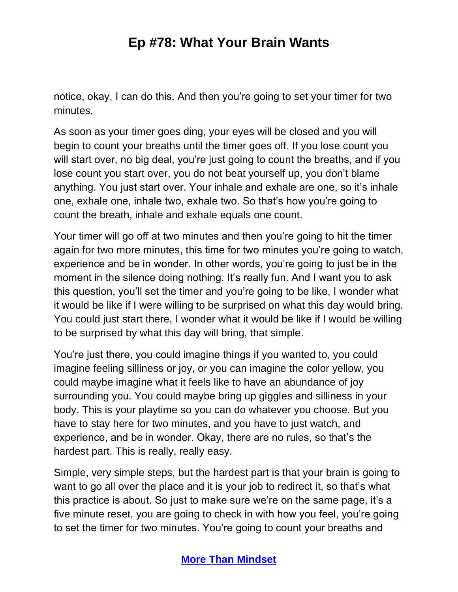notice, okay, I can do this. And then you're going to set your timer for two minutes.

As soon as your timer goes ding, your eyes will be closed and you will begin to count your breaths until the timer goes off. If you lose count you will start over, no big deal, you're just going to count the breaths, and if you lose count you start over, you do not beat yourself up, you don't blame anything. You just start over. Your inhale and exhale are one, so it's inhale one, exhale one, inhale two, exhale two. So that's how you're going to count the breath, inhale and exhale equals one count.

Your timer will go off at two minutes and then you're going to hit the timer again for two more minutes, this time for two minutes you're going to watch, experience and be in wonder. In other words, you're going to just be in the moment in the silence doing nothing. It's really fun. And I want you to ask this question, you'll set the timer and you're going to be like, I wonder what it would be like if I were willing to be surprised on what this day would bring. You could just start there, I wonder what it would be like if I would be willing to be surprised by what this day will bring, that simple.

You're just there, you could imagine things if you wanted to, you could imagine feeling silliness or joy, or you can imagine the color yellow, you could maybe imagine what it feels like to have an abundance of joy surrounding you. You could maybe bring up giggles and silliness in your body. This is your playtime so you can do whatever you choose. But you have to stay here for two minutes, and you have to just watch, and experience, and be in wonder. Okay, there are no rules, so that's the hardest part. This is really, really easy.

Simple, very simple steps, but the hardest part is that your brain is going to want to go all over the place and it is your job to redirect it, so that's what this practice is about. So just to make sure we're on the same page, it's a five minute reset, you are going to check in with how you feel, you're going to set the timer for two minutes. You're going to count your breaths and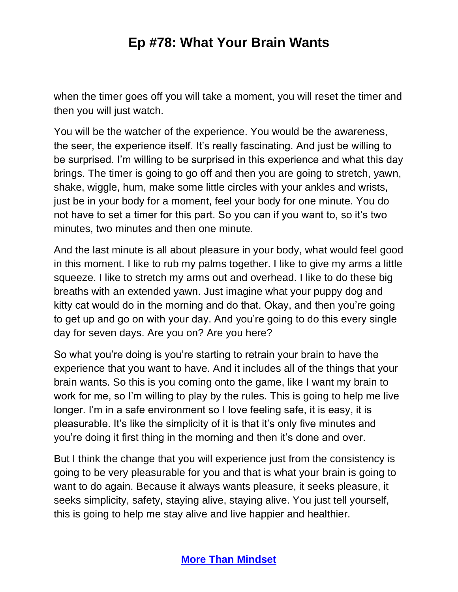when the timer goes off you will take a moment, you will reset the timer and then you will just watch.

You will be the watcher of the experience. You would be the awareness, the seer, the experience itself. It's really fascinating. And just be willing to be surprised. I'm willing to be surprised in this experience and what this day brings. The timer is going to go off and then you are going to stretch, yawn, shake, wiggle, hum, make some little circles with your ankles and wrists, just be in your body for a moment, feel your body for one minute. You do not have to set a timer for this part. So you can if you want to, so it's two minutes, two minutes and then one minute.

And the last minute is all about pleasure in your body, what would feel good in this moment. I like to rub my palms together. I like to give my arms a little squeeze. I like to stretch my arms out and overhead. I like to do these big breaths with an extended yawn. Just imagine what your puppy dog and kitty cat would do in the morning and do that. Okay, and then you're going to get up and go on with your day. And you're going to do this every single day for seven days. Are you on? Are you here?

So what you're doing is you're starting to retrain your brain to have the experience that you want to have. And it includes all of the things that your brain wants. So this is you coming onto the game, like I want my brain to work for me, so I'm willing to play by the rules. This is going to help me live longer. I'm in a safe environment so I love feeling safe, it is easy, it is pleasurable. It's like the simplicity of it is that it's only five minutes and you're doing it first thing in the morning and then it's done and over.

But I think the change that you will experience just from the consistency is going to be very pleasurable for you and that is what your brain is going to want to do again. Because it always wants pleasure, it seeks pleasure, it seeks simplicity, safety, staying alive, staying alive. You just tell yourself, this is going to help me stay alive and live happier and healthier.